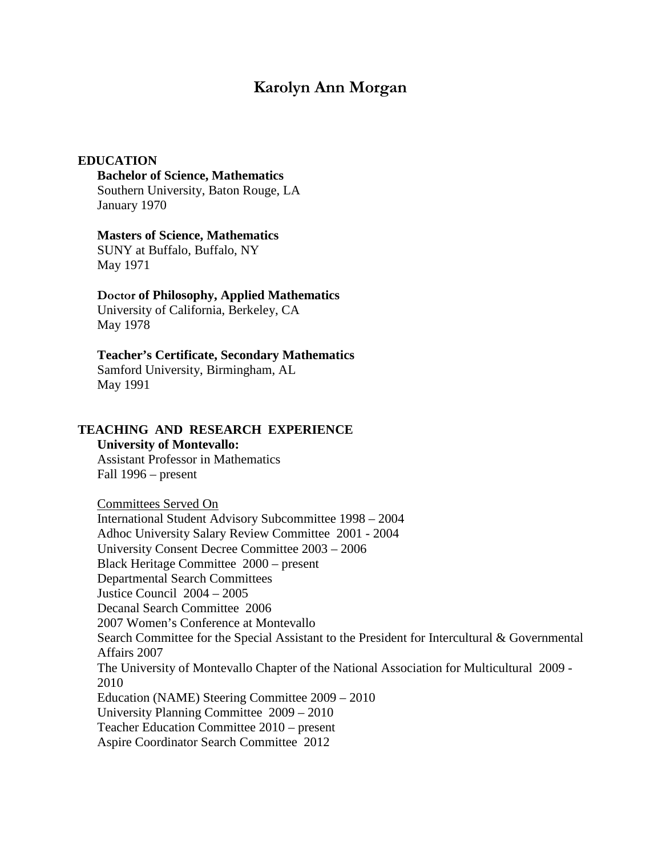# **Karolyn Ann Morgan**

## **EDUCATION**

#### **Bachelor of Science, Mathematics**

Southern University, Baton Rouge, LA January 1970

## **Masters of Science, Mathematics**

SUNY at Buffalo, Buffalo, NY May 1971

## **Doctor of Philosophy, Applied Mathematics**

University of California, Berkeley, CA May 1978

## **Teacher's Certificate, Secondary Mathematics**

Samford University, Birmingham, AL May 1991

## **TEACHING AND RESEARCH EXPERIENCE**

#### **University of Montevallo:**

Assistant Professor in Mathematics Fall 1996 – present

Committees Served On International Student Advisory Subcommittee 1998 – 2004 Adhoc University Salary Review Committee 2001 - 2004 University Consent Decree Committee 2003 – 2006 Black Heritage Committee 2000 – present Departmental Search Committees Justice Council 2004 – 2005 Decanal Search Committee 2006 2007 Women's Conference at Montevallo Search Committee for the Special Assistant to the President for Intercultural & Governmental Affairs 2007 The University of Montevallo Chapter of the National Association for Multicultural 2009 - 2010 Education (NAME) Steering Committee 2009 – 2010 University Planning Committee 2009 – 2010 Teacher Education Committee 2010 – present Aspire Coordinator Search Committee 2012